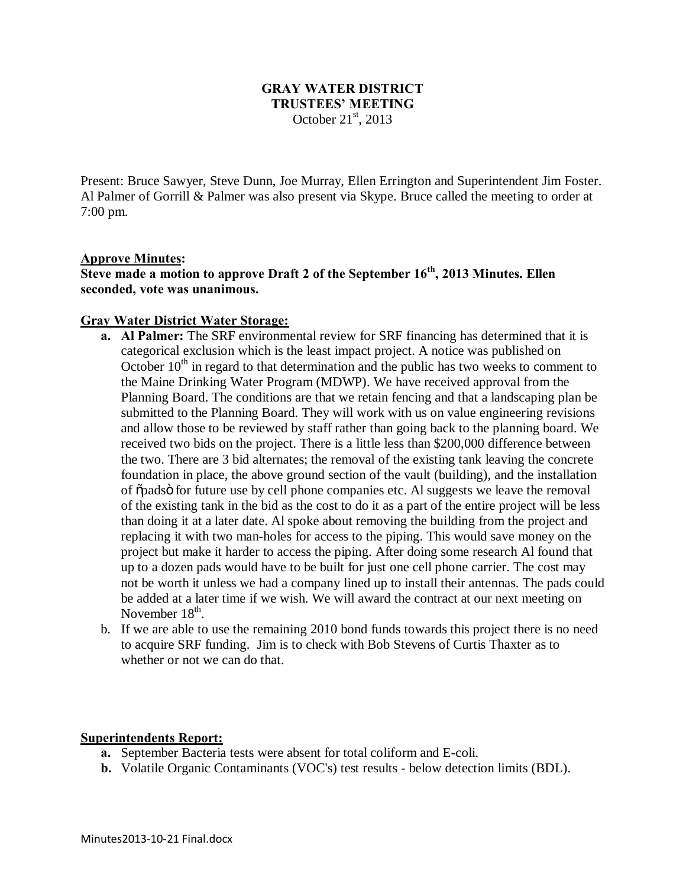# **GRAY WATER DISTRICT TRUSTEES' MEETING** October  $21<sup>st</sup>$ , 2013

Present: Bruce Sawyer, Steve Dunn, Joe Murray, Ellen Errington and Superintendent Jim Foster. Al Palmer of Gorrill & Palmer was also present via Skype. Bruce called the meeting to order at 7:00 pm.

### **Approve Minutes:**

**Steve made a motion to approve Draft 2 of the September 16th, 2013 Minutes. Ellen seconded, vote was unanimous.**

### **Gray Water District Water Storage:**

- **a. Al Palmer:** The SRF environmental review for SRF financing has determined that it is categorical exclusion which is the least impact project. A notice was published on October  $10<sup>th</sup>$  in regard to that determination and the public has two weeks to comment to the Maine Drinking Water Program (MDWP). We have received approval from the Planning Board. The conditions are that we retain fencing and that a landscaping plan be submitted to the Planning Board. They will work with us on value engineering revisions and allow those to be reviewed by staff rather than going back to the planning board. We received two bids on the project. There is a little less than \$200,000 difference between the two. There are 3 bid alternates; the removal of the existing tank leaving the concrete foundation in place, the above ground section of the vault (building), and the installation of "pads" for future use by cell phone companies etc. Al suggests we leave the removal of the existing tank in the bid as the cost to do it as a part of the entire project will be less than doing it at a later date. Al spoke about removing the building from the project and replacing it with two man-holes for access to the piping. This would save money on the project but make it harder to access the piping. After doing some research Al found that up to a dozen pads would have to be built for just one cell phone carrier. The cost may not be worth it unless we had a company lined up to install their antennas. The pads could be added at a later time if we wish. We will award the contract at our next meeting on November 18<sup>th</sup>.
- b. If we are able to use the remaining 2010 bond funds towards this project there is no need to acquire SRF funding. Jim is to check with Bob Stevens of Curtis Thaxter as to whether or not we can do that.

#### **Superintendents Report:**

- **a.** September Bacteria tests were absent for total coliform and E-coli.
- **b.** Volatile Organic Contaminants (VOC's) test results below detection limits (BDL).